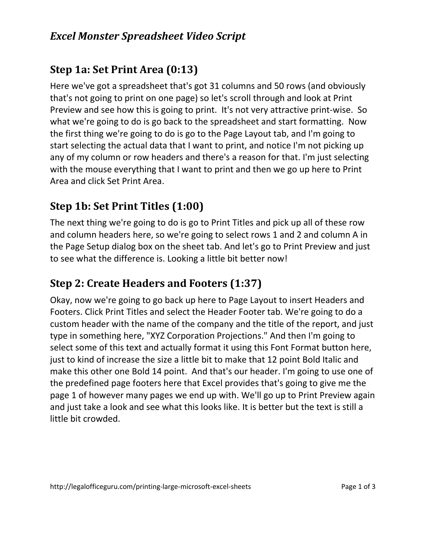### *Excel Monster Spreadsheet Video Script*

## **Step 1a: Set Print Area (0:13)**

Here we've got a spreadsheet that's got 31 columns and 50 rows (and obviously that's not going to print on one page) so let's scroll through and look at Print Preview and see how this is going to print. It's not very attractive print-wise. So what we're going to do is go back to the spreadsheet and start formatting. Now the first thing we're going to do is go to the Page Layout tab, and I'm going to start selecting the actual data that I want to print, and notice I'm not picking up any of my column or row headers and there's a reason for that. I'm just selecting with the mouse everything that I want to print and then we go up here to Print Area and click Set Print Area.

## **Step 1b: Set Print Titles (1:00)**

The next thing we're going to do is go to Print Titles and pick up all of these row and column headers here, so we're going to select rows 1 and 2 and column A in the Page Setup dialog box on the sheet tab. And let's go to Print Preview and just to see what the difference is. Looking a little bit better now!

## **Step 2: Create Headers and Footers (1:37)**

Okay, now we're going to go back up here to Page Layout to insert Headers and Footers. Click Print Titles and select the Header Footer tab. We're going to do a custom header with the name of the company and the title of the report, and just type in something here, "XYZ Corporation Projections." And then I'm going to select some of this text and actually format it using this Font Format button here, just to kind of increase the size a little bit to make that 12 point Bold Italic and make this other one Bold 14 point. And that's our header. I'm going to use one of the predefined page footers here that Excel provides that's going to give me the page 1 of however many pages we end up with. We'll go up to Print Preview again and just take a look and see what this looks like. It is better but the text is still a little bit crowded.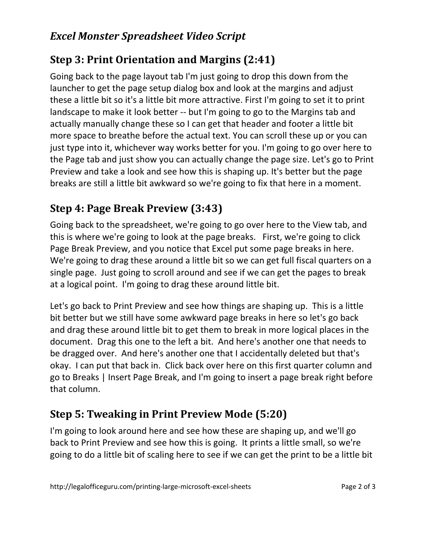### *Excel Monster Spreadsheet Video Script*

# **Step 3: Print Orientation and Margins (2:41)**

Going back to the page layout tab I'm just going to drop this down from the launcher to get the page setup dialog box and look at the margins and adjust these a little bit so it's a little bit more attractive. First I'm going to set it to print landscape to make it look better -- but I'm going to go to the Margins tab and actually manually change these so I can get that header and footer a little bit more space to breathe before the actual text. You can scroll these up or you can just type into it, whichever way works better for you. I'm going to go over here to the Page tab and just show you can actually change the page size. Let's go to Print Preview and take a look and see how this is shaping up. It's better but the page breaks are still a little bit awkward so we're going to fix that here in a moment.

# **Step 4: Page Break Preview (3:43)**

Going back to the spreadsheet, we're going to go over here to the View tab, and this is where we're going to look at the page breaks. First, we're going to click Page Break Preview, and you notice that Excel put some page breaks in here. We're going to drag these around a little bit so we can get full fiscal quarters on a single page. Just going to scroll around and see if we can get the pages to break at a logical point. I'm going to drag these around little bit.

Let's go back to Print Preview and see how things are shaping up. This is a little bit better but we still have some awkward page breaks in here so let's go back and drag these around little bit to get them to break in more logical places in the document. Drag this one to the left a bit. And here's another one that needs to be dragged over. And here's another one that I accidentally deleted but that's okay. I can put that back in. Click back over here on this first quarter column and go to Breaks | Insert Page Break, and I'm going to insert a page break right before that column.

# **Step 5: Tweaking in Print Preview Mode (5:20)**

I'm going to look around here and see how these are shaping up, and we'll go back to Print Preview and see how this is going. It prints a little small, so we're going to do a little bit of scaling here to see if we can get the print to be a little bit